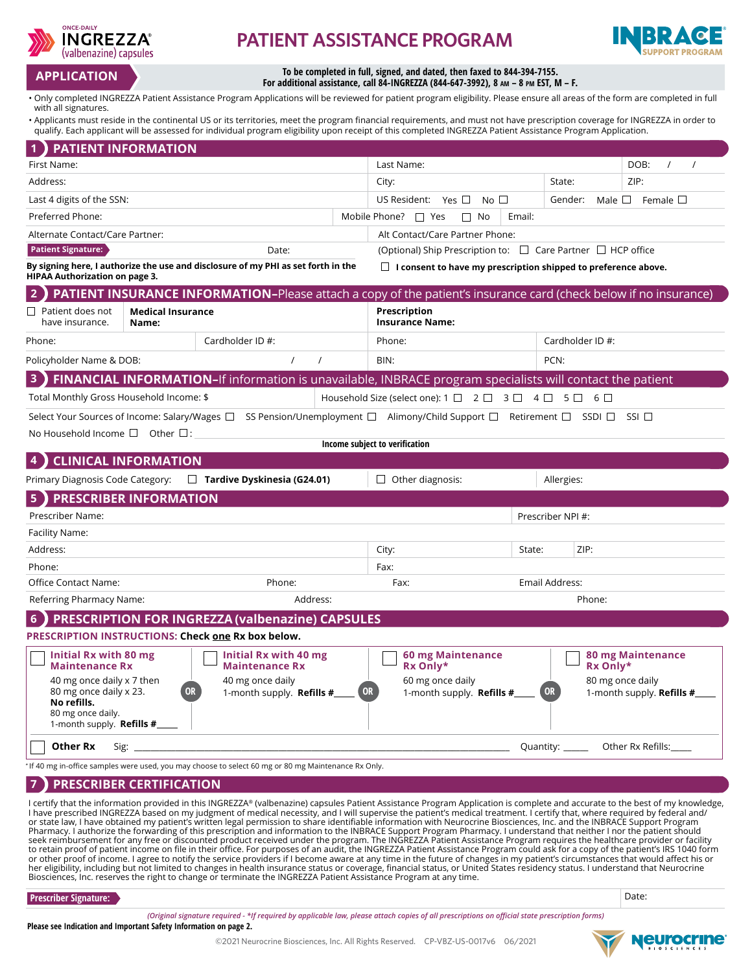

# **PATIENT ASSISTANCE PROGRAM**



# **To be completed in full, signed, and dated, then faxed to 844-394-7155. For additional assistance, call 84-INGREZZA (844-647-3992), 8 am – 8 pm EST, M – F. APPLICATION**

• Only completed INGREZZA Patient Assistance Program Applications will be reviewed for patient program eligibility. Please ensure all areas of the form are completed in full with all signatures.

• Applicants must reside in the continental US or its territories, meet the program financial requirements, and must not have prescription coverage for INGREZZA in order to qualify. Each applicant will be assessed for individual program eligibility upon receipt of this completed INGREZZA Patient Assistance Program Application.

| <b>PATIENT INFORMATION</b>                                                                                                                                                                          |                                   |                                                                    |        |                                                                                                                                                                                                                                                                                                                                                                                                                                                                                                                                                                                                                                                                                                                                                                                                                                                                                                                                                                                                                                                                                                                                                                                                                                                                                                                    |                  |          |                                                      |  |
|-----------------------------------------------------------------------------------------------------------------------------------------------------------------------------------------------------|-----------------------------------|--------------------------------------------------------------------|--------|--------------------------------------------------------------------------------------------------------------------------------------------------------------------------------------------------------------------------------------------------------------------------------------------------------------------------------------------------------------------------------------------------------------------------------------------------------------------------------------------------------------------------------------------------------------------------------------------------------------------------------------------------------------------------------------------------------------------------------------------------------------------------------------------------------------------------------------------------------------------------------------------------------------------------------------------------------------------------------------------------------------------------------------------------------------------------------------------------------------------------------------------------------------------------------------------------------------------------------------------------------------------------------------------------------------------|------------------|----------|------------------------------------------------------|--|
| First Name:                                                                                                                                                                                         |                                   |                                                                    |        | Last Name:                                                                                                                                                                                                                                                                                                                                                                                                                                                                                                                                                                                                                                                                                                                                                                                                                                                                                                                                                                                                                                                                                                                                                                                                                                                                                                         |                  |          | DOB:<br>$\prime$                                     |  |
| Address:                                                                                                                                                                                            |                                   |                                                                    | City:  |                                                                                                                                                                                                                                                                                                                                                                                                                                                                                                                                                                                                                                                                                                                                                                                                                                                                                                                                                                                                                                                                                                                                                                                                                                                                                                                    | State:           | ZIP:     |                                                      |  |
| Last 4 digits of the SSN:                                                                                                                                                                           |                                   |                                                                    |        | US Resident: Yes $\square$<br>No $\square$<br>Male $\Box$<br>Female $\square$<br>Gender:                                                                                                                                                                                                                                                                                                                                                                                                                                                                                                                                                                                                                                                                                                                                                                                                                                                                                                                                                                                                                                                                                                                                                                                                                           |                  |          |                                                      |  |
| Preferred Phone:                                                                                                                                                                                    |                                   |                                                                    |        | Mobile Phone?<br>$\Box$ Yes<br>Email:<br>No                                                                                                                                                                                                                                                                                                                                                                                                                                                                                                                                                                                                                                                                                                                                                                                                                                                                                                                                                                                                                                                                                                                                                                                                                                                                        |                  |          |                                                      |  |
| Alternate Contact/Care Partner:                                                                                                                                                                     |                                   |                                                                    |        | Alt Contact/Care Partner Phone:                                                                                                                                                                                                                                                                                                                                                                                                                                                                                                                                                                                                                                                                                                                                                                                                                                                                                                                                                                                                                                                                                                                                                                                                                                                                                    |                  |          |                                                      |  |
| <b>Patient Signature:</b><br>Date:                                                                                                                                                                  |                                   |                                                                    |        | (Optional) Ship Prescription to: $\Box$ Care Partner $\Box$ HCP office                                                                                                                                                                                                                                                                                                                                                                                                                                                                                                                                                                                                                                                                                                                                                                                                                                                                                                                                                                                                                                                                                                                                                                                                                                             |                  |          |                                                      |  |
| By signing here, I authorize the use and disclosure of my PHI as set forth in the<br>$\Box$ I consent to have my prescription shipped to preference above.<br><b>HIPAA Authorization on page 3.</b> |                                   |                                                                    |        |                                                                                                                                                                                                                                                                                                                                                                                                                                                                                                                                                                                                                                                                                                                                                                                                                                                                                                                                                                                                                                                                                                                                                                                                                                                                                                                    |                  |          |                                                      |  |
| <b>PATIENT INSURANCE INFORMATION-Please attach a copy of the patient's insurance card (check below if no insurance)</b>                                                                             |                                   |                                                                    |        |                                                                                                                                                                                                                                                                                                                                                                                                                                                                                                                                                                                                                                                                                                                                                                                                                                                                                                                                                                                                                                                                                                                                                                                                                                                                                                                    |                  |          |                                                      |  |
| $\Box~$ Patient does not<br>have insurance.                                                                                                                                                         | <b>Medical Insurance</b><br>Name: |                                                                    |        | Prescription<br><b>Insurance Name:</b>                                                                                                                                                                                                                                                                                                                                                                                                                                                                                                                                                                                                                                                                                                                                                                                                                                                                                                                                                                                                                                                                                                                                                                                                                                                                             |                  |          |                                                      |  |
| Phone:                                                                                                                                                                                              |                                   | Cardholder ID #:                                                   |        | Phone:                                                                                                                                                                                                                                                                                                                                                                                                                                                                                                                                                                                                                                                                                                                                                                                                                                                                                                                                                                                                                                                                                                                                                                                                                                                                                                             | Cardholder ID #: |          |                                                      |  |
| Policyholder Name & DOB:                                                                                                                                                                            |                                   | $\prime$<br>$\prime$                                               |        | BIN:                                                                                                                                                                                                                                                                                                                                                                                                                                                                                                                                                                                                                                                                                                                                                                                                                                                                                                                                                                                                                                                                                                                                                                                                                                                                                                               | PCN:             |          |                                                      |  |
| 3<br>FINANCIAL INFORMATION-If information is unavailable, INBRACE program specialists will contact the patient                                                                                      |                                   |                                                                    |        |                                                                                                                                                                                                                                                                                                                                                                                                                                                                                                                                                                                                                                                                                                                                                                                                                                                                                                                                                                                                                                                                                                                                                                                                                                                                                                                    |                  |          |                                                      |  |
| Total Monthly Gross Household Income: \$<br>$6\Box$<br>Household Size (select one): $1 \square 2 \square 3 \square 4 \square$<br>$5\Box$                                                            |                                   |                                                                    |        |                                                                                                                                                                                                                                                                                                                                                                                                                                                                                                                                                                                                                                                                                                                                                                                                                                                                                                                                                                                                                                                                                                                                                                                                                                                                                                                    |                  |          |                                                      |  |
| Select Your Sources of Income: Salary/Wages □ SS Pension/Unemployment □ Alimony/Child Support □ Retirement □<br>SSI<br>$SSDI$ $\Box$<br>No Household Income $\square$ Other $\square$ :             |                                   |                                                                    |        |                                                                                                                                                                                                                                                                                                                                                                                                                                                                                                                                                                                                                                                                                                                                                                                                                                                                                                                                                                                                                                                                                                                                                                                                                                                                                                                    |                  |          |                                                      |  |
|                                                                                                                                                                                                     |                                   |                                                                    |        | Income subject to verification                                                                                                                                                                                                                                                                                                                                                                                                                                                                                                                                                                                                                                                                                                                                                                                                                                                                                                                                                                                                                                                                                                                                                                                                                                                                                     |                  |          |                                                      |  |
|                                                                                                                                                                                                     | <b>CLINICAL INFORMATION</b>       |                                                                    |        |                                                                                                                                                                                                                                                                                                                                                                                                                                                                                                                                                                                                                                                                                                                                                                                                                                                                                                                                                                                                                                                                                                                                                                                                                                                                                                                    |                  |          |                                                      |  |
| Primary Diagnosis Code Category:<br>$\Box$ Tardive Dyskinesia (G24.01)<br>Other diagnosis:<br>Allergies:                                                                                            |                                   |                                                                    |        |                                                                                                                                                                                                                                                                                                                                                                                                                                                                                                                                                                                                                                                                                                                                                                                                                                                                                                                                                                                                                                                                                                                                                                                                                                                                                                                    |                  |          |                                                      |  |
| $\sqrt{5}$<br><b>PRESCRIBER INFORMATION</b>                                                                                                                                                         |                                   |                                                                    |        |                                                                                                                                                                                                                                                                                                                                                                                                                                                                                                                                                                                                                                                                                                                                                                                                                                                                                                                                                                                                                                                                                                                                                                                                                                                                                                                    |                  |          |                                                      |  |
| Prescriber Name:                                                                                                                                                                                    |                                   |                                                                    |        | Prescriber NPI #:                                                                                                                                                                                                                                                                                                                                                                                                                                                                                                                                                                                                                                                                                                                                                                                                                                                                                                                                                                                                                                                                                                                                                                                                                                                                                                  |                  |          |                                                      |  |
| Facility Name:                                                                                                                                                                                      |                                   |                                                                    |        |                                                                                                                                                                                                                                                                                                                                                                                                                                                                                                                                                                                                                                                                                                                                                                                                                                                                                                                                                                                                                                                                                                                                                                                                                                                                                                                    |                  |          |                                                      |  |
| Address:                                                                                                                                                                                            |                                   |                                                                    |        | City:                                                                                                                                                                                                                                                                                                                                                                                                                                                                                                                                                                                                                                                                                                                                                                                                                                                                                                                                                                                                                                                                                                                                                                                                                                                                                                              | State:           | ZIP:     |                                                      |  |
| Phone:                                                                                                                                                                                              |                                   |                                                                    |        | Fax:                                                                                                                                                                                                                                                                                                                                                                                                                                                                                                                                                                                                                                                                                                                                                                                                                                                                                                                                                                                                                                                                                                                                                                                                                                                                                                               |                  |          |                                                      |  |
| Office Contact Name:                                                                                                                                                                                | Phone:                            |                                                                    |        | Fax:<br>Email Address:                                                                                                                                                                                                                                                                                                                                                                                                                                                                                                                                                                                                                                                                                                                                                                                                                                                                                                                                                                                                                                                                                                                                                                                                                                                                                             |                  |          |                                                      |  |
| Address:<br>Referring Pharmacy Name:                                                                                                                                                                |                                   |                                                                    | Phone: |                                                                                                                                                                                                                                                                                                                                                                                                                                                                                                                                                                                                                                                                                                                                                                                                                                                                                                                                                                                                                                                                                                                                                                                                                                                                                                                    |                  |          |                                                      |  |
| <b>PRESCRIPTION FOR INGREZZA (valbenazine) CAPSULES</b><br>6                                                                                                                                        |                                   |                                                                    |        |                                                                                                                                                                                                                                                                                                                                                                                                                                                                                                                                                                                                                                                                                                                                                                                                                                                                                                                                                                                                                                                                                                                                                                                                                                                                                                                    |                  |          |                                                      |  |
| <b>PRESCRIPTION INSTRUCTIONS: Check one Rx box below.</b>                                                                                                                                           |                                   |                                                                    |        |                                                                                                                                                                                                                                                                                                                                                                                                                                                                                                                                                                                                                                                                                                                                                                                                                                                                                                                                                                                                                                                                                                                                                                                                                                                                                                                    |                  |          |                                                      |  |
| <b>Initial Rx with 80 mg</b><br><b>Maintenance Rx</b>                                                                                                                                               |                                   | Initial Rx with 40 mg<br><b>Maintenance Rx</b>                     |        | <b>60 mg Maintenance</b><br>Rx Only*                                                                                                                                                                                                                                                                                                                                                                                                                                                                                                                                                                                                                                                                                                                                                                                                                                                                                                                                                                                                                                                                                                                                                                                                                                                                               |                  | Rx Only* | <b>80 mg Maintenance</b>                             |  |
| 40 mg once daily x 7 then<br>80 mg once daily x 23.<br>No refills.<br>80 mg once daily.<br>1-month supply. Refills $#$                                                                              | <b>UK</b>                         | 40 mg once daily<br>1-month supply. <b>Refills <math>\#</math></b> |        | 60 mg once daily                                                                                                                                                                                                                                                                                                                                                                                                                                                                                                                                                                                                                                                                                                                                                                                                                                                                                                                                                                                                                                                                                                                                                                                                                                                                                                   |                  |          | 80 mg once daily<br>1-month supply. <b>Refills #</b> |  |
| <b>Other Rx</b><br>Quantity: Other Rx Refills:                                                                                                                                                      |                                   |                                                                    |        |                                                                                                                                                                                                                                                                                                                                                                                                                                                                                                                                                                                                                                                                                                                                                                                                                                                                                                                                                                                                                                                                                                                                                                                                                                                                                                                    |                  |          |                                                      |  |
| If 40 mg in-office samples were used, you may choose to select 60 mg or 80 mg Maintenance Rx Only.                                                                                                  |                                   |                                                                    |        |                                                                                                                                                                                                                                                                                                                                                                                                                                                                                                                                                                                                                                                                                                                                                                                                                                                                                                                                                                                                                                                                                                                                                                                                                                                                                                                    |                  |          |                                                      |  |
| $\overline{7}$<br><b>PRESCRIBER CERTIFICATION</b>                                                                                                                                                   |                                   |                                                                    |        |                                                                                                                                                                                                                                                                                                                                                                                                                                                                                                                                                                                                                                                                                                                                                                                                                                                                                                                                                                                                                                                                                                                                                                                                                                                                                                                    |                  |          |                                                      |  |
|                                                                                                                                                                                                     |                                   |                                                                    |        | l certify that the information provided in this INGREZZA® (valbenazine) capsules Patient Assistance Program Application is complete and accurate to the best of my knowledge,<br>I have prescribed INGREZZA based on my judgment of medical necessity, and I will supervise the patient's medical treatment. I certify that, where required by federal and/<br>or state law, I have obtained my patient's written legal permission to share identifiable information with Neurocrine Biosciences, Inc. and the INBRACE Support Program<br>Pharmacy. I authorize the forwarding of this prescription and information to the INBRACE Support Program Pharmacy. I understand that neither I nor the patient should<br>seek reimbursement for any free or discounted product received under the program. The INGREZZA Patient Assistance Program requires the healthcare provider or facility<br>to retain proof of patient income on file in their office. For purposes of an audit, the INGREZZA Patient Assistance Program could ask for a copy of the patient's IRS 1040 form<br>or other proof of income. I agree to notify the service providers if I become aware at any time in the future of changes in my patient's circumstances that would affect his or<br>her eligibility including but not limited to c |                  |          |                                                      |  |

her eligibility, including but not limited to changes in health insurance status or coverage, financial status, or United States residency status. I understand that Neurocrine<br>Biosciences, Inc. reserves the right to change

**Prescriber Signature:** 

*(Original signature required - \*If required by applicable law, please attach copies of all prescriptions on official state prescription forms)*

**Please see Indication and Important Safety Information on page 2.**



Date: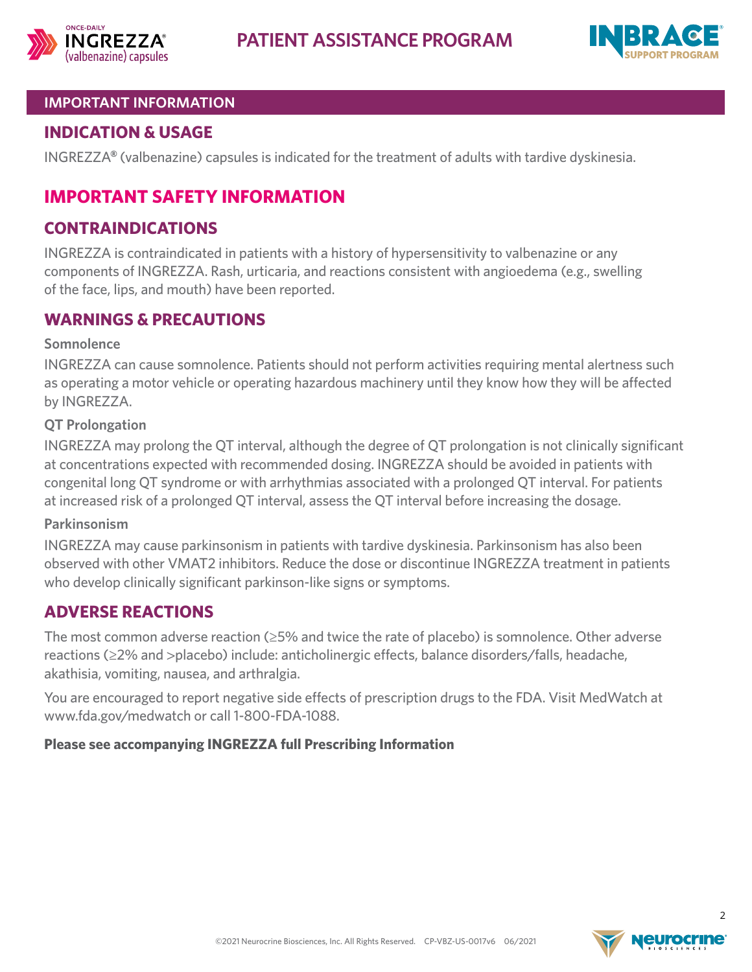



## **IMPORTANT INFORMATION**

# **INDICATION & USAGE**

INGREZZA**®** (valbenazine) capsules is indicated for the treatment of adults with tardive dyskinesia.

# **IMPORTANT SAFETY INFORMATION**

# **CONTRAINDICATIONS**

INGREZZA is contraindicated in patients with a history of hypersensitivity to valbenazine or any components of INGREZZA. Rash, urticaria, and reactions consistent with angioedema (e.g., swelling of the face, lips, and mouth) have been reported.

# **WARNINGS & PRECAUTIONS**

## **Somnolence**

INGREZZA can cause somnolence. Patients should not perform activities requiring mental alertness such as operating a motor vehicle or operating hazardous machinery until they know how they will be affected by INGREZZA.

#### **QT Prolongation**

INGREZZA may prolong the QT interval, although the degree of QT prolongation is not clinically significant at concentrations expected with recommended dosing. INGREZZA should be avoided in patients with congenital long QT syndrome or with arrhythmias associated with a prolonged QT interval. For patients at increased risk of a prolonged QT interval, assess the QT interval before increasing the dosage.

#### **Parkinsonism**

INGREZZA may cause parkinsonism in patients with tardive dyskinesia. Parkinsonism has also been observed with other VMAT2 inhibitors. Reduce the dose or discontinue INGREZZA treatment in patients who develop clinically significant parkinson-like signs or symptoms.

# **ADVERSE REACTIONS**

The most common adverse reaction (≥5% and twice the rate of placebo) is somnolence. Other adverse reactions (≥2% and >placebo) include: anticholinergic effects, balance disorders/falls, headache, akathisia, vomiting, nausea, and arthralgia.

You are encouraged to report negative side effects of prescription drugs to the FDA. Visit MedWatch at www.fda.gov/medwatch or call 1-800-FDA-1088.

#### **Please see accompanying INGREZZA ful[l Prescribing Information](https://www.neurocrine.com/assets/INGREZZA-full-Prescribing-Information.pdf)**